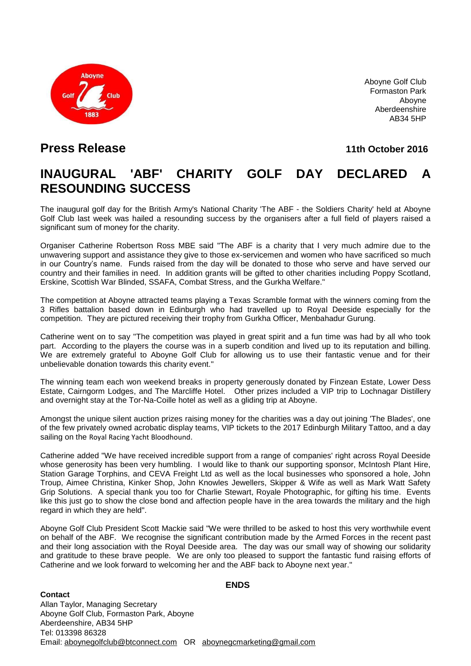

Aboyne Golf Club Formaston Park Aboyne Aberdeenshire AB34 5HP

### **Press Release 11th October 2016**

# **INAUGURAL 'ABF' CHARITY GOLF DAY DECLARED A RESOUNDING SUCCESS**

The inaugural golf day for the British Army's National Charity 'The ABF - the Soldiers Charity' held at Aboyne Golf Club last week was hailed a resounding success by the organisers after a full field of players raised a significant sum of money for the charity.

Organiser Catherine Robertson Ross MBE said "The ABF is a charity that I very much admire due to the unwavering support and assistance they give to those ex-servicemen and women who have sacrificed so much in our Country's name. Funds raised from the day will be donated to those who serve and have served our country and their families in need. In addition grants will be gifted to other charities including Poppy Scotland, Erskine, Scottish War Blinded, SSAFA, Combat Stress, and the Gurkha Welfare."

The competition at Aboyne attracted teams playing a Texas Scramble format with the winners coming from the 3 Rifles battalion based down in Edinburgh who had travelled up to Royal Deeside especially for the competition. They are pictured receiving their trophy from Gurkha Officer, Menbahadur Gurung.

Catherine went on to say "The competition was played in great spirit and a fun time was had by all who took part. According to the players the course was in a superb condition and lived up to its reputation and billing. We are extremely grateful to Aboyne Golf Club for allowing us to use their fantastic venue and for their unbelievable donation towards this charity event."

The winning team each won weekend breaks in property generously donated by Finzean Estate, Lower Dess Estate, Cairngorm Lodges, and The Marcliffe Hotel. Other prizes included a VIP trip to Lochnagar Distillery and overnight stay at the Tor-Na-Coille hotel as well as a gliding trip at Aboyne.

Amongst the unique silent auction prizes raising money for the charities was a day out joining 'The Blades', one of the few privately owned acrobatic display teams, VIP tickets to the 2017 Edinburgh Military Tattoo, and a day sailing on the Royal Racing Yacht Bloodhound.

Catherine added "We have received incredible support from a range of companies' right across Royal Deeside whose generosity has been very humbling. I would like to thank our supporting sponsor, McIntosh Plant Hire, Station Garage Torphins, and CEVA Freight Ltd as well as the local businesses who sponsored a hole, John Troup, Aimee Christina, Kinker Shop, John Knowles Jewellers, Skipper & Wife as well as Mark Watt Safety Grip Solutions. A special thank you too for Charlie Stewart, Royale Photographic, for gifting his time. Events like this just go to show the close bond and affection people have in the area towards the military and the high regard in which they are held".

Aboyne Golf Club President Scott Mackie said "We were thrilled to be asked to host this very worthwhile event on behalf of the ABF. We recognise the significant contribution made by the Armed Forces in the recent past and their long association with the Royal Deeside area. The day was our small way of showing our solidarity and gratitude to these brave people. We are only too pleased to support the fantastic fund raising efforts of Catherine and we look forward to welcoming her and the ABF back to Aboyne next year."

### **Contact**

#### **ENDS**

Allan Taylor, Managing Secretary Aboyne Golf Club, Formaston Park, Aboyne Aberdeenshire, AB34 5HP Tel: 013398 86328 Email: [aboynegolfclub@btconnect.com](mailto:aboynegolfclub@btconnect.com) OR [aboynegcmarketing@gmail.com](mailto:aboynegcmarketing@gmail.com)